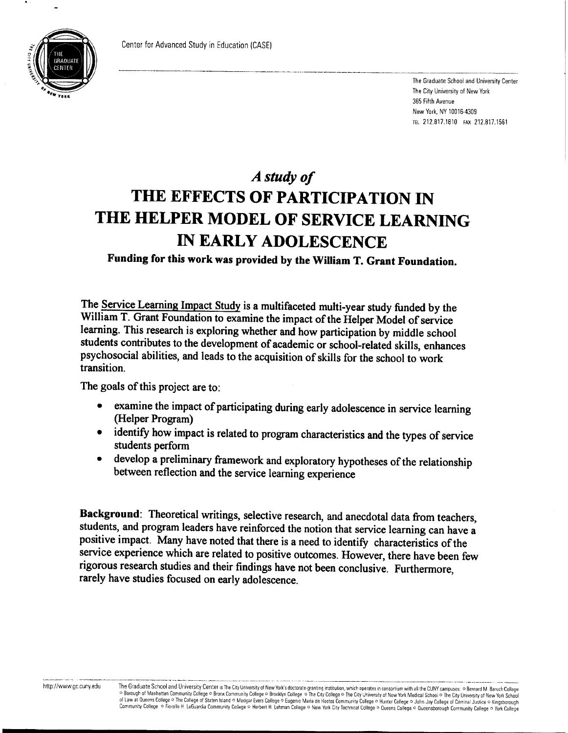

The Graduate School and University Center The City University of New York 365 Fifth Avenue New York, NY 10016-4309 TEL 212.817.1810 FAX 212.817.1561

## *A study of*  **THE EFFECTS OF PARTICIPATION IN THE HELPER MODEL OF SERVICE LEARNING IN EARLY ADOLESCENCE**

**Funding for this work was provided by the William T. Grant Foundation.** 

**The Service Learning Impact Study is a multifaceted multi-year study funded by the William T. Grant Foundation to examine the impact of the Helper Model of service learning. This research is exploring whether and how participation by middle school students contributes to the development of academic or school-related skills, enhances psychosocial abilities, and leads to the acquisition of skills for the school to work transition.** 

**The goals of this project are to:** 

- **examine the impact of participating during early adolescence in service learning (Helper Program)**
- **identify how impact is related to program characteristics and the types of service students perform**
- **develop a preliminary framework and exploratory hypotheses of the relationship between reflection and the service learning experience**

**Background: Theoretical writings, selective research, and anecdotal data from teachers, students, and program leaders have reinforced the notion that service learning can have <sup>a</sup> positive impact. Many have noted that there is a need to identify characteristics of the service experience which are related to positive outcomes. However, there have been few rigorous research studies and their findings have not been conclusive. Furthermore, rarely have studies focused on early adolescence.**